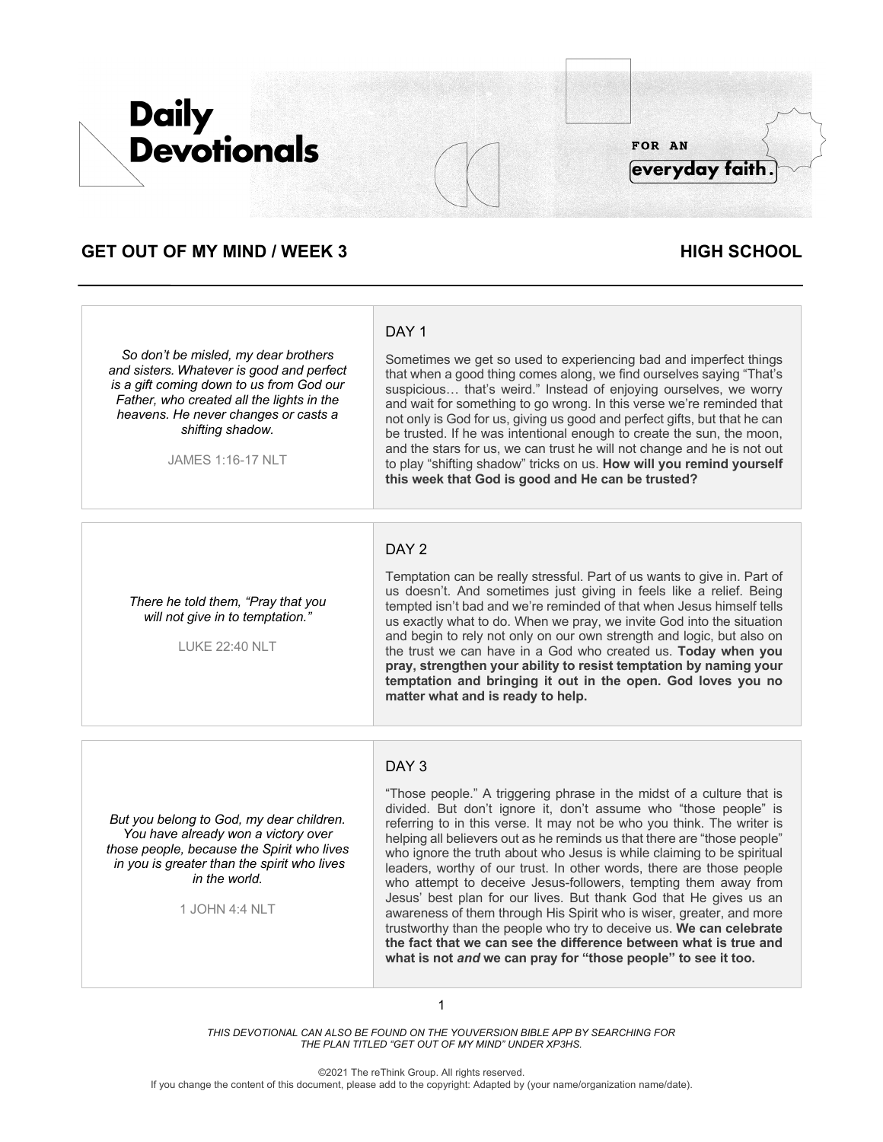

# **GET OUT OF MY MIND / WEEK 3 HIGH SCHOOL**

*So don't be misled, my dear brothers and sisters. Whatever is good and perfect is a gift coming down to us from God our Father, who created all the lights in the heavens. He never changes or casts a shifting shadow.* 

JAMES 1:16-17 NLT

# DAY<sub>1</sub>

Sometimes we get so used to experiencing bad and imperfect things that when a good thing comes along, we find ourselves saying "That's suspicious… that's weird." Instead of enjoying ourselves, we worry and wait for something to go wrong. In this verse we're reminded that not only is God for us, giving us good and perfect gifts, but that he can be trusted. If he was intentional enough to create the sun, the moon, and the stars for us, we can trust he will not change and he is not out to play "shifting shadow" tricks on us. **How will you remind yourself this week that God is good and He can be trusted?**

#### DAY<sub>2</sub>

*There he told them, "Pray that you will not give in to temptation."*

LUKE 22:40 NLT

Temptation can be really stressful. Part of us wants to give in. Part of us doesn't. And sometimes just giving in feels like a relief. Being tempted isn't bad and we're reminded of that when Jesus himself tells us exactly what to do. When we pray, we invite God into the situation and begin to rely not only on our own strength and logic, but also on the trust we can have in a God who created us. **Today when you pray, strengthen your ability to resist temptation by naming your temptation and bringing it out in the open. God loves you no matter what and is ready to help.**

## DAY 3

*But you belong to God, my dear children. You have already won a victory over those people, because the Spirit who lives in you is greater than the spirit who lives in the world.*

1 JOHN 4:4 NLT

"Those people." A triggering phrase in the midst of a culture that is divided. But don't ignore it, don't assume who "those people" is referring to in this verse. It may not be who you think. The writer is helping all believers out as he reminds us that there are "those people" who ignore the truth about who Jesus is while claiming to be spiritual leaders, worthy of our trust. In other words, there are those people who attempt to deceive Jesus-followers, tempting them away from Jesus' best plan for our lives. But thank God that He gives us an awareness of them through His Spirit who is wiser, greater, and more trustworthy than the people who try to deceive us. **We can celebrate the fact that we can see the difference between what is true and what is not** *and* **we can pray for "those people" to see it too.**

1

*THIS DEVOTIONAL CAN ALSO BE FOUND ON THE YOUVERSION BIBLE APP BY SEARCHING FOR THE PLAN TITLED "GET OUT OF MY MIND" UNDER XP3HS.*

©2021 The reThink Group. All rights reserved.

If you change the content of this document, please add to the copyright: Adapted by (your name/organization name/date).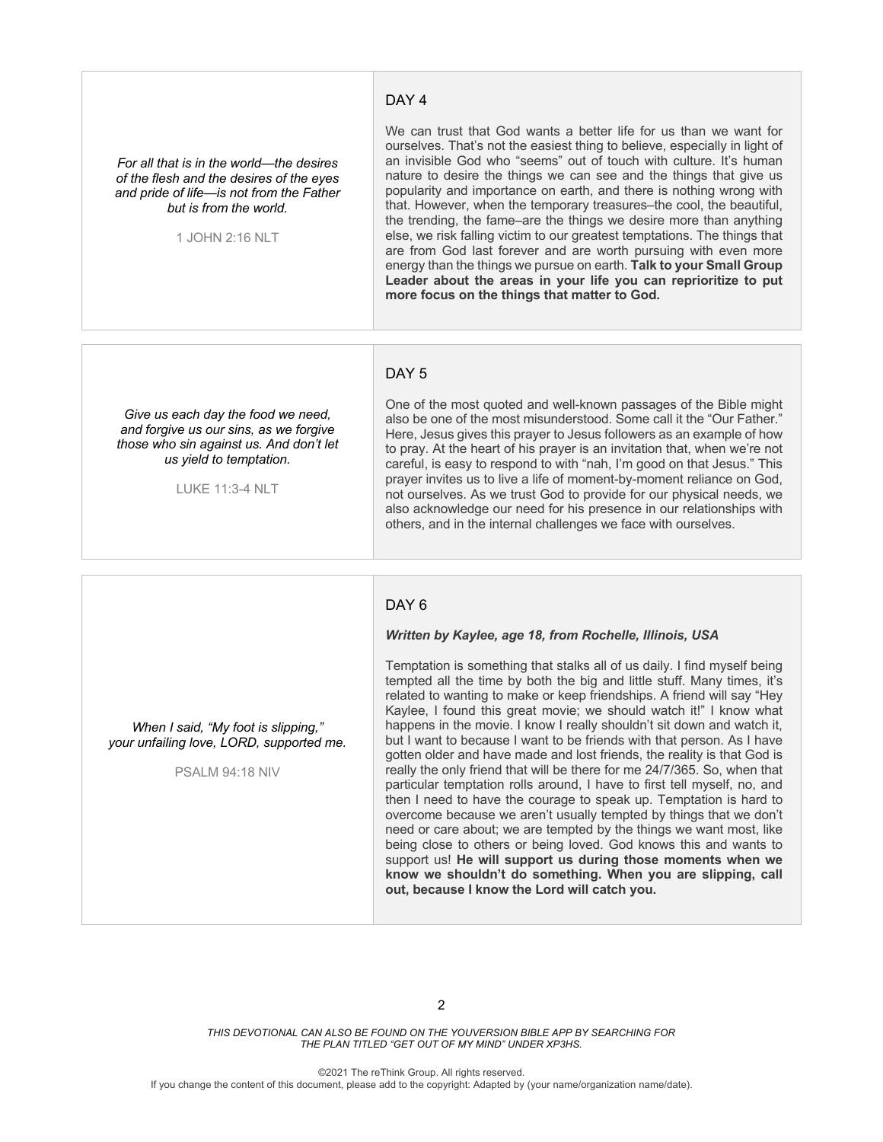#### DAY 4

*For all that is in the world—the desires of the flesh and the desires of the eyes and pride of life—is not from the Father but is from the world.* 

1 JOHN 2:16 NLT

We can trust that God wants a better life for us than we want for ourselves. That's not the easiest thing to believe, especially in light of an invisible God who "seems" out of touch with culture. It's human nature to desire the things we can see and the things that give us popularity and importance on earth, and there is nothing wrong with that. However, when the temporary treasures–the cool, the beautiful, the trending, the fame–are the things we desire more than anything else, we risk falling victim to our greatest temptations. The things that are from God last forever and are worth pursuing with even more energy than the things we pursue on earth. **Talk to your Small Group Leader about the areas in your life you can reprioritize to put more focus on the things that matter to God.**

## DAY<sub>5</sub>

*Give us each day the food we need, and forgive us our sins, as we forgive those who sin against us. And don't let us yield to temptation.*

LUKE 11:3-4 NLT

One of the most quoted and well-known passages of the Bible might also be one of the most misunderstood. Some call it the "Our Father." Here, Jesus gives this prayer to Jesus followers as an example of how to pray. At the heart of his prayer is an invitation that, when we're not careful, is easy to respond to with "nah, I'm good on that Jesus." This prayer invites us to live a life of moment-by-moment reliance on God, not ourselves. As we trust God to provide for our physical needs, we also acknowledge our need for his presence in our relationships with others, and in the internal challenges we face with ourselves.

#### DAY<sub>6</sub>

#### *Written by Kaylee, age 18, from Rochelle, Illinois, USA*

*When I said, "My foot is slipping," your unfailing love, LORD, supported me.*

PSALM 94:18 NIV

Temptation is something that stalks all of us daily. I find myself being tempted all the time by both the big and little stuff. Many times, it's related to wanting to make or keep friendships. A friend will say "Hey Kaylee, I found this great movie; we should watch it!" I know what happens in the movie. I know I really shouldn't sit down and watch it, but I want to because I want to be friends with that person. As I have gotten older and have made and lost friends, the reality is that God is really the only friend that will be there for me 24/7/365. So, when that particular temptation rolls around, I have to first tell myself, no, and then I need to have the courage to speak up. Temptation is hard to overcome because we aren't usually tempted by things that we don't need or care about; we are tempted by the things we want most, like being close to others or being loved. God knows this and wants to support us! **He will support us during those moments when we know we shouldn't do something. When you are slipping, call out, because I know the Lord will catch you.**

*THIS DEVOTIONAL CAN ALSO BE FOUND ON THE YOUVERSION BIBLE APP BY SEARCHING FOR THE PLAN TITLED "GET OUT OF MY MIND" UNDER XP3HS.*

©2021 The reThink Group. All rights reserved.

If you change the content of this document, please add to the copyright: Adapted by (your name/organization name/date).